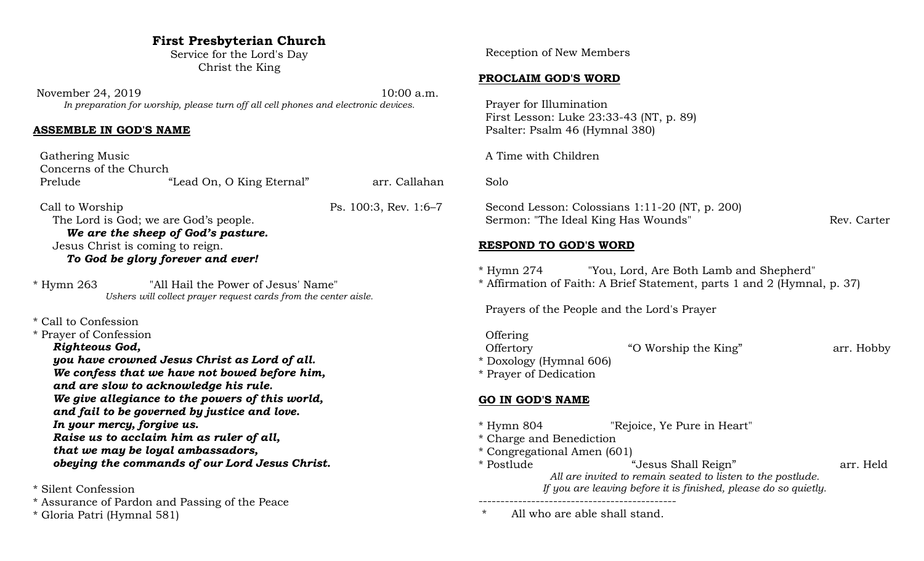## **First Presbyterian Church**

Service for the Lord's Day Christ the King

November 24, 2019 10:00 a.m. *In preparation for worship, please turn off all cell phones and electronic devices.*

#### **ASSEMBLE IN GOD'S NAME**

| Gathering Music<br>Concerns of the Church<br>Prelude                                                                 | "Lead On, O King Eternal"                                                                                                                                                                                                                                                                                                                                                                                   | arr. Callahan         |
|----------------------------------------------------------------------------------------------------------------------|-------------------------------------------------------------------------------------------------------------------------------------------------------------------------------------------------------------------------------------------------------------------------------------------------------------------------------------------------------------------------------------------------------------|-----------------------|
| Call to Worship                                                                                                      | The Lord is God; we are God's people.<br>We are the sheep of God's pasture.<br>Jesus Christ is coming to reign.<br>To God be glory forever and ever!                                                                                                                                                                                                                                                        | Ps. 100:3, Rev. 1:6-7 |
| "All Hail the Power of Jesus' Name"<br>* Hymn 263<br>Ushers will collect prayer request cards from the center aisle. |                                                                                                                                                                                                                                                                                                                                                                                                             |                       |
| * Call to Confession<br>* Prayer of Confession<br>Righteous God,                                                     | you have crowned Jesus Christ as Lord of all.<br>We confess that we have not bowed before him,<br>and are slow to acknowledge his rule.<br>We give allegiance to the powers of this world,<br>and fail to be governed by justice and love.<br>In your mercy, forgive us.<br>Raise us to acclaim him as ruler of all,<br>that we may be loyal ambassadors,<br>obeying the commands of our Lord Jesus Christ. |                       |
| * Silent Confession                                                                                                  |                                                                                                                                                                                                                                                                                                                                                                                                             |                       |

\* Assurance of Pardon and Passing of the Peace

\* Gloria Patri (Hymnal 581)

Reception of New Members

### **PROCLAIM GOD'S WORD**

 Prayer for Illumination First Lesson: Luke 23:33-43 (NT, p. 89) Psalter: Psalm 46 (Hymnal 380)

A Time with Children

Solo

 Second Lesson: Colossians 1:11-20 (NT, p. 200) Sermon: "The Ideal King Has Wounds" Rev. Carter

## **RESPOND TO GOD'S WORD**

- \* Hymn 274 "You, Lord, Are Both Lamb and Shepherd"
- \* Affirmation of Faith: A Brief Statement, parts 1 and 2 (Hymnal, p. 37)

Prayers of the People and the Lord's Prayer

**Offering** Offertory "O Worship the King" arr. Hobby \* Doxology (Hymnal 606)

\* Prayer of Dedication

# **GO IN GOD'S NAME**

- \* Hymn 804 "Rejoice, Ye Pure in Heart"
- \* Charge and Benediction
- \* Congregational Amen (601)
- \* Postlude "Jesus Shall Reign" arr. Held *All are invited to remain seated to listen to the postlude.*

*If you are leaving before it is finished, please do so quietly.*

--------------------------------------------- \* All who are able shall stand.